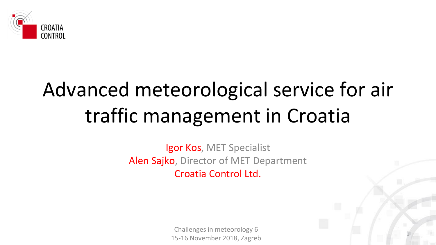

### Advanced meteorological service for air traffic management in Croatia

Igor Kos, MET Specialist Alen Sajko, Director of MET Department Croatia Control Ltd.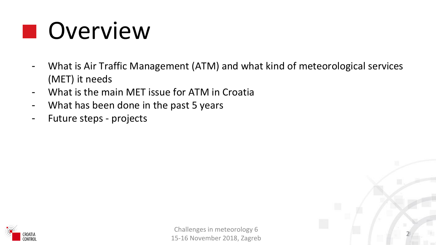### **D** Overview

- What is Air Traffic Management (ATM) and what kind of meteorological services (MET) it needs
- What is the main MET issue for ATM in Croatia
- What has been done in the past 5 years
- Future steps projects



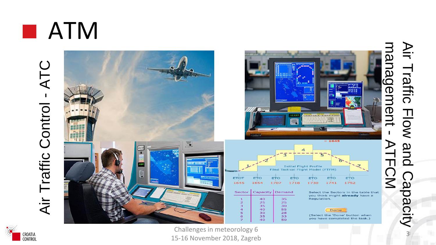





Challenges in meteorology 6 15 -16 November 2018, Zagreb

Air Traffic Flow and Capacity - ATFCMNir Traffic Flow and Capacity<br>nagement - ATFCM

3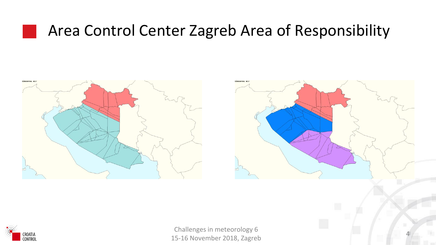#### Area Control Center Zagreb Area of Responsibility





4

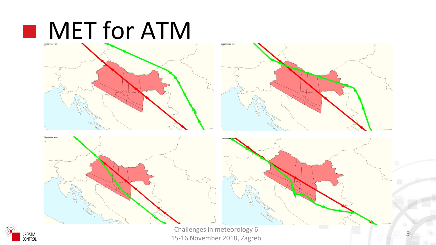



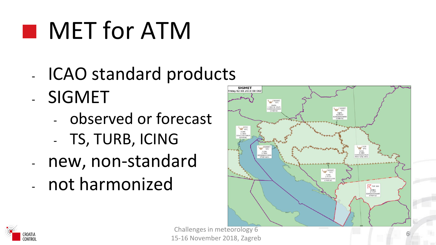# **NET for ATM**

- ICAO standard products - SIGMET
	- observed or forecast
	- TS, TURB, ICING
- new, non-standard
- not harmonized



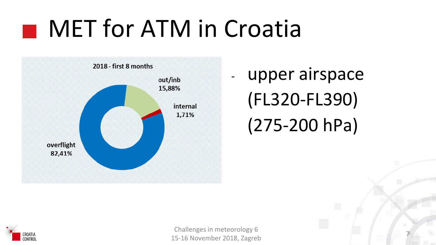### **MET for ATM in Croatia**



upper airspace (FL320-FL390) (275-200 hPa)

7

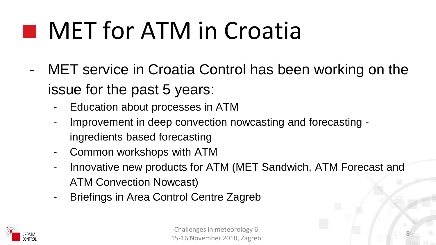## **NET for ATM in Croatia**

- MET service in Croatia Control has been working on the issue for the past 5 years:
	- Education about processes in ATM
	- Improvement in deep convection nowcasting and forecasting ingredients based forecasting
	- Common workshops with ATM
	- Innovative new products for ATM (MET Sandwich, ATM Forecast and ATM Convection Nowcast)
	- Briefings in Area Control Centre Zagreb

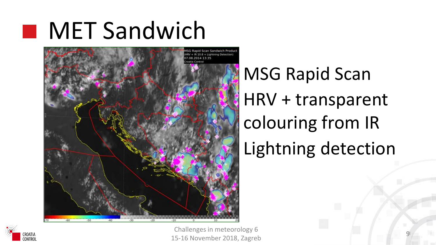### **MET Sandwich**



MSG Rapid Scan HRV + transparent colouring from IR Lightning detection

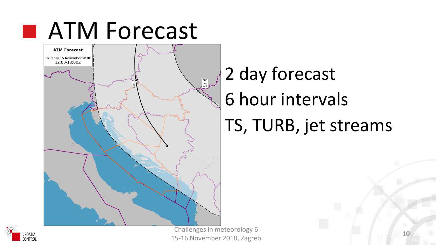



2 day forecast 6 hour intervals TS, TURB, jet streams



challenges in meteorology 6 and 10 minutes of 10 minutes and 10 minutes of 10 minutes and 10 minutes of 10 minutes and 10 minutes and 10 minutes and 10 minutes and 10 minutes and 10 minutes and 10 minutes and 10 minutes an 15-16 November 2018, Zagreb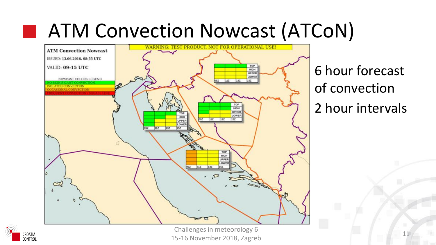### ■ ATM Convection Nowcast (ATCoN)



6 hour forecast of convection 2 hour intervals

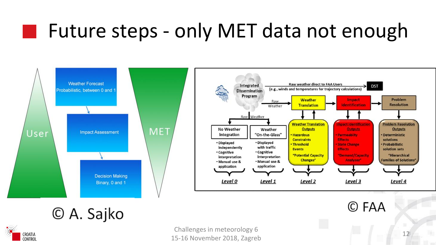### Future steps - only MET data not enough





#### © A. Sajko



M.

challenges in meteorology 6 and 12 and 12 and 12 and 12 and 12 and 12 and 12 and 12 and 12 and 12 and 12 and 12 and 12 and 12 and 12 and 12 and 12 and 12 and 12 and 12 and 12 and 12 and 12 and 12 and 12 and 12 and 12 and 1 15-16 November 2018, Zagreb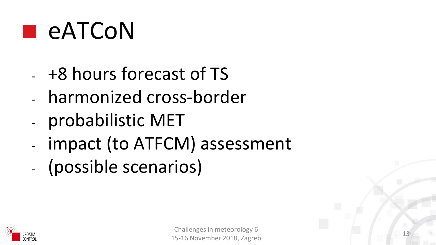

- +8 hours forecast of TS
- harmonized cross-border
- probabilistic MET
- impact (to ATFCM) assessment
- (possible scenarios)

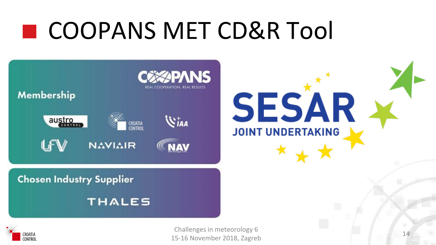### COOPANS MET CD&R Tool



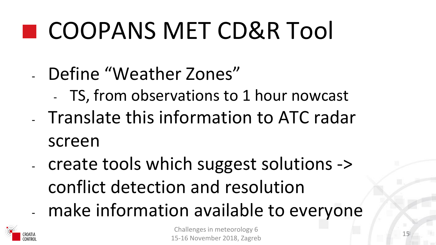# COOPANS MET CD&R Tool

### - Define "Weather Zones"

- TS, from observations to 1 hour nowcast - Translate this information to ATC radar

screen

- create tools which suggest solutions -> conflict detection and resolution
- make information available to everyone